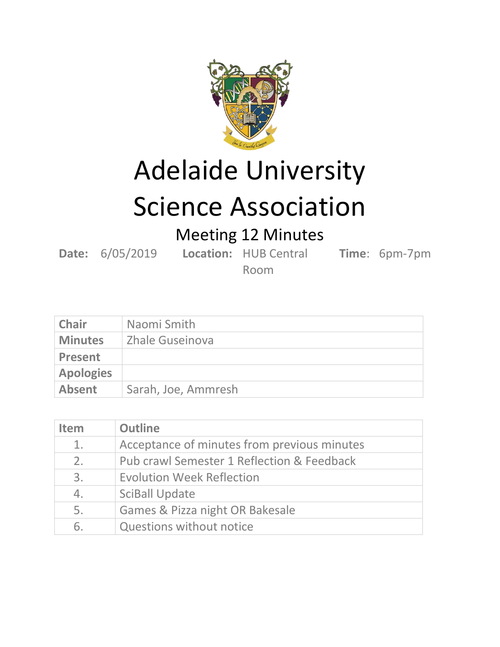

Adelaide University

## Science Association

Meeting 12 Minutes

**Date:** 6/05/2019 **Location:** HUB Central

**Time**: 6pm-7pm

Room

| <b>Chair</b>     | Naomi Smith         |
|------------------|---------------------|
| <b>Minutes</b>   | Zhale Guseinova     |
| <b>Present</b>   |                     |
| <b>Apologies</b> |                     |
| <b>Absent</b>    | Sarah, Joe, Ammresh |

| <b>Item</b>    | <b>Outline</b>                              |
|----------------|---------------------------------------------|
| $\mathbf{1}$ . | Acceptance of minutes from previous minutes |
| 2.             | Pub crawl Semester 1 Reflection & Feedback  |
| 3.             | <b>Evolution Week Reflection</b>            |
| 4.             | <b>SciBall Update</b>                       |
| 5.             | Games & Pizza night OR Bakesale             |
| 6.             | Questions without notice                    |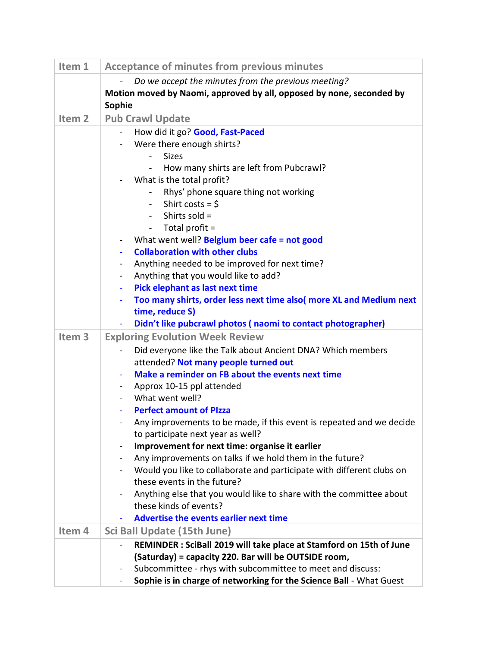| Item 1            | <b>Acceptance of minutes from previous minutes</b>                                                        |
|-------------------|-----------------------------------------------------------------------------------------------------------|
|                   | Do we accept the minutes from the previous meeting?                                                       |
|                   | Motion moved by Naomi, approved by all, opposed by none, seconded by                                      |
|                   | Sophie                                                                                                    |
| Item <sub>2</sub> | <b>Pub Crawl Update</b>                                                                                   |
|                   | How did it go? Good, Fast-Paced                                                                           |
|                   | Were there enough shirts?                                                                                 |
|                   | <b>Sizes</b>                                                                                              |
|                   | How many shirts are left from Pubcrawl?<br>$\overline{\phantom{0}}$                                       |
|                   | What is the total profit?                                                                                 |
|                   | Rhys' phone square thing not working                                                                      |
|                   | - Shirt costs = $\frac{1}{2}$<br>Shirts sold =                                                            |
|                   | Total profit =<br>$\sim$                                                                                  |
|                   | What went well? Belgium beer cafe = not good<br>$\overline{\phantom{a}}$                                  |
|                   | <b>Collaboration with other clubs</b><br>$\blacksquare$                                                   |
|                   | Anything needed to be improved for next time?<br>$\blacksquare$                                           |
|                   | Anything that you would like to add?<br>$\blacksquare$                                                    |
|                   | Pick elephant as last next time                                                                           |
|                   | Too many shirts, order less next time also( more XL and Medium next                                       |
|                   | time, reduce S)                                                                                           |
|                   | Didn't like pubcrawl photos (naomi to contact photographer)                                               |
| Item <sub>3</sub> | <b>Exploring Evolution Week Review</b>                                                                    |
|                   | Did everyone like the Talk about Ancient DNA? Which members                                               |
|                   | attended? Not many people turned out                                                                      |
|                   | Make a reminder on FB about the events next time<br>$\blacksquare$                                        |
|                   | Approx 10-15 ppl attended                                                                                 |
|                   | What went well?                                                                                           |
|                   | <b>Perfect amount of Pizza</b>                                                                            |
|                   | Any improvements to be made, if this event is repeated and we decide<br>to participate next year as well? |
|                   | Improvement for next time: organise it earlier                                                            |
|                   | Any improvements on talks if we hold them in the future?                                                  |
|                   | Would you like to collaborate and participate with different clubs on                                     |
|                   | these events in the future?                                                                               |
|                   | Anything else that you would like to share with the committee about                                       |
|                   | these kinds of events?                                                                                    |
|                   | <b>Advertise the events earlier next time</b>                                                             |
| Item 4            | Sci Ball Update (15th June)                                                                               |
|                   | REMINDER : SciBall 2019 will take place at Stamford on 15th of June                                       |
|                   | (Saturday) = capacity 220. Bar will be OUTSIDE room,                                                      |
|                   | Subcommittee - rhys with subcommittee to meet and discuss:                                                |
|                   | Sophie is in charge of networking for the Science Ball - What Guest                                       |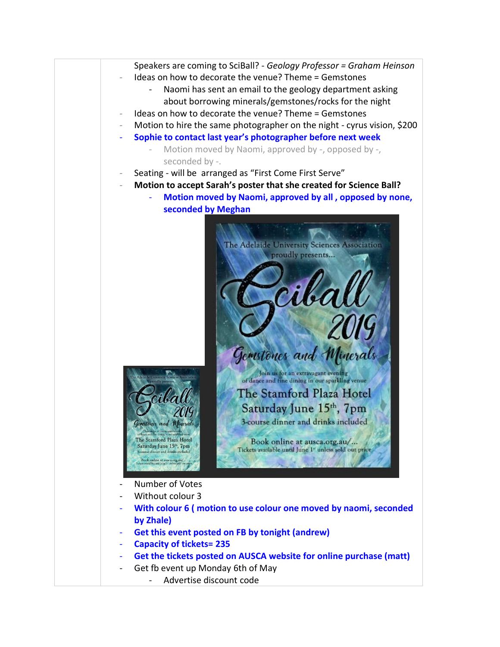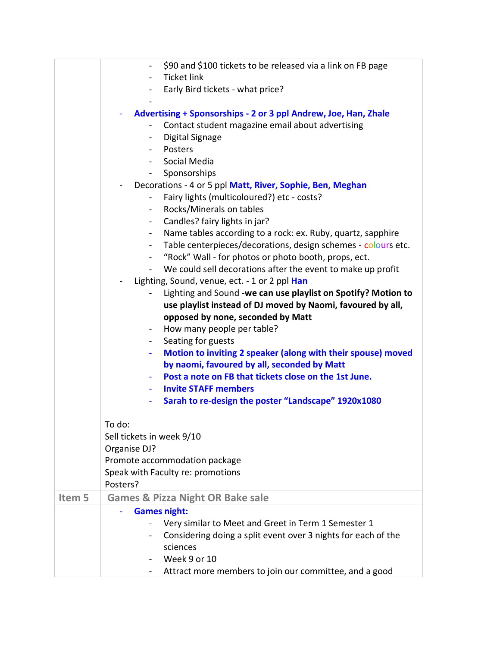|        | \$90 and \$100 tickets to be released via a link on FB page<br><b>Ticket link</b><br>$\overline{\phantom{0}}$  |
|--------|----------------------------------------------------------------------------------------------------------------|
|        | Early Bird tickets - what price?                                                                               |
|        |                                                                                                                |
|        | Advertising + Sponsorships - 2 or 3 ppl Andrew, Joe, Han, Zhale                                                |
|        | Contact student magazine email about advertising                                                               |
|        | Digital Signage                                                                                                |
|        | Posters<br>$\blacksquare$                                                                                      |
|        | Social Media                                                                                                   |
|        | Sponsorships                                                                                                   |
|        | Decorations - 4 or 5 ppl Matt, River, Sophie, Ben, Meghan                                                      |
|        | Fairy lights (multicoloured?) etc - costs?                                                                     |
|        | Rocks/Minerals on tables<br>$\blacksquare$                                                                     |
|        | Candles? fairy lights in jar?<br>$\overline{\phantom{0}}$                                                      |
|        | Name tables according to a rock: ex. Ruby, quartz, sapphire<br>$\blacksquare$                                  |
|        | Table centerpieces/decorations, design schemes - colours etc.                                                  |
|        | "Rock" Wall - for photos or photo booth, props, ect.<br>$\sim$ 10 $\pm$                                        |
|        | We could sell decorations after the event to make up profit                                                    |
|        | Lighting, Sound, venue, ect. - 1 or 2 ppl Han<br>Lighting and Sound -we can use playlist on Spotify? Motion to |
|        | use playlist instead of DJ moved by Naomi, favoured by all,                                                    |
|        | opposed by none, seconded by Matt                                                                              |
|        | How many people per table?                                                                                     |
|        | Seating for guests<br>$\blacksquare$                                                                           |
|        | Motion to inviting 2 speaker (along with their spouse) moved                                                   |
|        | by naomi, favoured by all, seconded by Matt                                                                    |
|        | Post a note on FB that tickets close on the 1st June.                                                          |
|        | <b>Invite STAFF members</b>                                                                                    |
|        | Sarah to re-design the poster "Landscape" 1920x1080                                                            |
|        |                                                                                                                |
|        | To do:                                                                                                         |
|        | Sell tickets in week 9/10                                                                                      |
|        | Organise DJ?                                                                                                   |
|        | Promote accommodation package                                                                                  |
|        | Speak with Faculty re: promotions                                                                              |
|        | Posters?                                                                                                       |
| Item 5 | <b>Games &amp; Pizza Night OR Bake sale</b>                                                                    |
|        | <b>Games night:</b>                                                                                            |
|        | Very similar to Meet and Greet in Term 1 Semester 1                                                            |
|        | Considering doing a split event over 3 nights for each of the                                                  |
|        | sciences                                                                                                       |
|        | Week 9 or 10                                                                                                   |
|        | Attract more members to join our committee, and a good<br>Ξ.                                                   |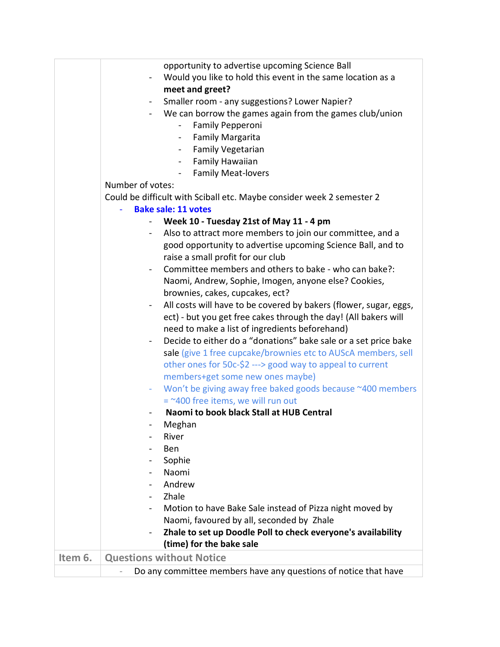|         | opportunity to advertise upcoming Science Ball                                                                          |
|---------|-------------------------------------------------------------------------------------------------------------------------|
|         | Would you like to hold this event in the same location as a                                                             |
|         | meet and greet?                                                                                                         |
|         | Smaller room - any suggestions? Lower Napier?<br>$\blacksquare$                                                         |
|         | We can borrow the games again from the games club/union                                                                 |
|         | Family Pepperoni                                                                                                        |
|         | <b>Family Margarita</b>                                                                                                 |
|         | Family Vegetarian<br>$\sim$ 100 $\mu$                                                                                   |
|         | - Family Hawaiian                                                                                                       |
|         | <b>Family Meat-lovers</b>                                                                                               |
|         | Number of votes:                                                                                                        |
|         | Could be difficult with Sciball etc. Maybe consider week 2 semester 2                                                   |
|         | <b>Bake sale: 11 votes</b>                                                                                              |
|         | Week 10 - Tuesday 21st of May 11 - 4 pm                                                                                 |
|         | Also to attract more members to join our committee, and a<br>$\blacksquare$                                             |
|         | good opportunity to advertise upcoming Science Ball, and to                                                             |
|         | raise a small profit for our club                                                                                       |
|         | Committee members and others to bake - who can bake?:                                                                   |
|         | Naomi, Andrew, Sophie, Imogen, anyone else? Cookies,                                                                    |
|         | brownies, cakes, cupcakes, ect?                                                                                         |
|         | All costs will have to be covered by bakers (flower, sugar, eggs,                                                       |
|         | ect) - but you get free cakes through the day! (All bakers will                                                         |
|         | need to make a list of ingredients beforehand)                                                                          |
|         | Decide to either do a "donations" bake sale or a set price bake                                                         |
|         | sale (give 1 free cupcake/brownies etc to AUScA members, sell                                                           |
|         | other ones for 50c-\$2 ---> good way to appeal to current                                                               |
|         | members+get some new ones maybe)                                                                                        |
|         | Won't be giving away free baked goods because ~400 members                                                              |
|         | $=$ ~400 free items, we will run out                                                                                    |
|         | Naomi to book black Stall at HUB Central                                                                                |
|         | Meghan                                                                                                                  |
|         | River                                                                                                                   |
|         | <b>Ben</b>                                                                                                              |
|         | Sophie                                                                                                                  |
|         | Naomi                                                                                                                   |
|         | Andrew                                                                                                                  |
|         | Zhale                                                                                                                   |
|         |                                                                                                                         |
|         | Motion to have Bake Sale instead of Pizza night moved by<br>$\blacksquare$<br>Naomi, favoured by all, seconded by Zhale |
|         |                                                                                                                         |
|         | Zhale to set up Doodle Poll to check everyone's availability<br>$\blacksquare$<br>(time) for the bake sale              |
|         |                                                                                                                         |
| Item 6. | <b>Questions without Notice</b>                                                                                         |
|         | Do any committee members have any questions of notice that have                                                         |